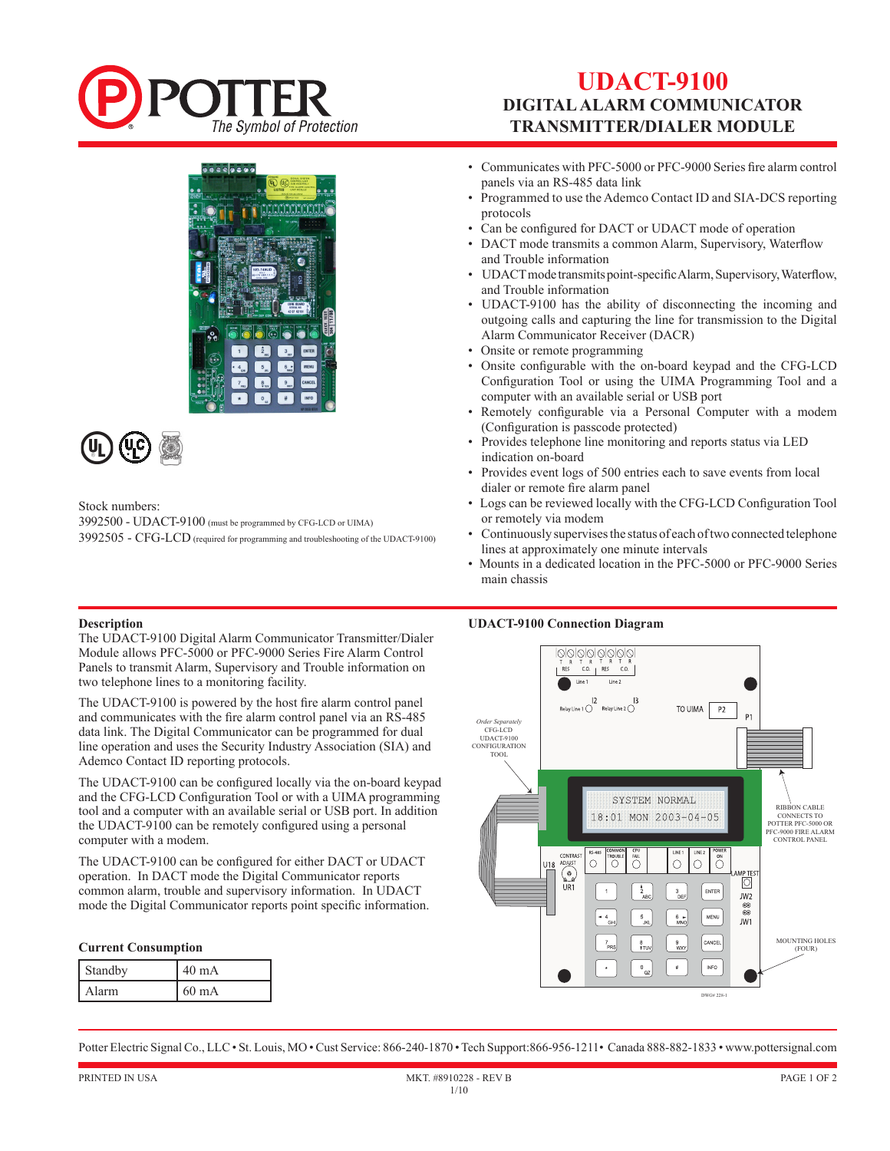

# **UDACT-9100 DIGITAL ALARM COMMUNICATOR TRANSMITTER/DIALER MODULE**



Stock numbers:

3992500 - UDACT-9100 (must be programmed by CFG-LCD or UIMA) 3992505 - CFG-LCD (required for programming and troubleshooting of the UDACT-9100)

- Communicates with PFC-5000 or PFC-9000 Series fire alarm control panels via an RS-485 data link
- Programmed to use the Ademco Contact ID and SIA-DCS reporting protocols
- Can be configured for DACT or UDACT mode of operation
- DACT mode transmits a common Alarm, Supervisory, Waterflow and Trouble information
- UDACT mode transmits point-specific Alarm, Supervisory, Waterflow, and Trouble information
- UDACT-9100 has the ability of disconnecting the incoming and outgoing calls and capturing the line for transmission to the Digital Alarm Communicator Receiver (DACR)
- Onsite or remote programming
- Onsite configurable with the on-board keypad and the CFG-LCD Configuration Tool or using the UIMA Programming Tool and a computer with an available serial or USB port
- Remotely configurable via a Personal Computer with a modem (Configuration is passcode protected)
- Provides telephone line monitoring and reports status via LED indication on-board
- Provides event logs of 500 entries each to save events from local dialer or remote fire alarm panel
- Logs can be reviewed locally with the CFG-LCD Configuration Tool or remotely via modem
- Continuously supervises the status of each of two connected telephone lines at approximately one minute intervals
- Mounts in a dedicated location in the PFC-5000 or PFC-9000 Series main chassis

### **UDACT-9100 Connection Diagram**



## **Description**

The UDACT-9100 Digital Alarm Communicator Transmitter/Dialer Module allows PFC-5000 or PFC-9000 Series Fire Alarm Control Panels to transmit Alarm, Supervisory and Trouble information on two telephone lines to a monitoring facility.

The UDACT-9100 is powered by the host fire alarm control panel and communicates with the fire alarm control panel via an RS-485 data link. The Digital Communicator can be programmed for dual line operation and uses the Security Industry Association (SIA) and Ademco Contact ID reporting protocols.

The UDACT-9100 can be configured locally via the on-board keypad and the CFG-LCD Configuration Tool or with a UIMA programming tool and a computer with an available serial or USB port. In addition the UDACT-9100 can be remotely configured using a personal computer with a modem.

The UDACT-9100 can be configured for either DACT or UDACT operation. In DACT mode the Digital Communicator reports common alarm, trouble and supervisory information. In UDACT mode the Digital Communicator reports point specific information.

### **Current Consumption**

| <b>Standby</b> | $40 \text{ mA}$ |
|----------------|-----------------|
| l Alarm        | 60 mA           |

Potter Electric Signal Co., LLC • St. Louis, MO • Cust Service: 866-240-1870 • Tech Support:866-956-1211• Canada 888-882-1833 • www.pottersignal.com